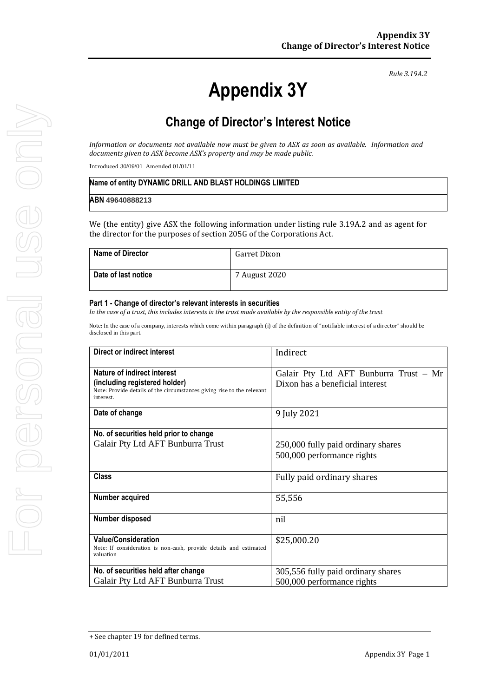# **Appendix 3Y**

*Rule 3.19A.2*

# **Change of Director's Interest Notice**

*Information or documents not available now must be given to ASX as soon as available. Information and documents given to ASX become ASX's property and may be made public.*

Introduced 30/09/01 Amended 01/01/11

| Name of entity DYNAMIC DRILL AND BLAST HOLDINGS LIMITED |  |
|---------------------------------------------------------|--|
| ABN 49640888213                                         |  |

We (the entity) give ASX the following information under listing rule 3.19A.2 and as agent for the director for the purposes of section 205G of the Corporations Act.

| <b>Name of Director</b> | Garret Dixon  |
|-------------------------|---------------|
| Date of last notice     | 7 August 2020 |

#### **Part 1 - Change of director's relevant interests in securities**

*In the case of a trust, this includes interests in the trust made available by the responsible entity of the trust*

Note: In the case of a company, interests which come within paragraph (i) of the definition of "notifiable interest of a director" should be disclosed in this part.

| Direct or indirect interest                                                         | Indirect                               |
|-------------------------------------------------------------------------------------|----------------------------------------|
| Nature of indirect interest                                                         | Galair Pty Ltd AFT Bunburra Trust - Mr |
| (including registered holder)                                                       | Dixon has a beneficial interest        |
| Note: Provide details of the circumstances giving rise to the relevant<br>interest. |                                        |
| Date of change                                                                      | 9 July 2021                            |
|                                                                                     |                                        |
| No. of securities held prior to change                                              |                                        |
| Galair Pty Ltd AFT Bunburra Trust                                                   | 250,000 fully paid ordinary shares     |
|                                                                                     | 500,000 performance rights             |
|                                                                                     |                                        |
| <b>Class</b>                                                                        | Fully paid ordinary shares             |
|                                                                                     |                                        |
| Number acquired                                                                     | 55,556                                 |
|                                                                                     |                                        |
| Number disposed                                                                     | nil                                    |
| <b>Value/Consideration</b>                                                          |                                        |
| Note: If consideration is non-cash, provide details and estimated                   | \$25,000.20                            |
| valuation                                                                           |                                        |
| No. of securities held after change                                                 | 305,556 fully paid ordinary shares     |
| Galair Pty Ltd AFT Bunburra Trust                                                   | 500,000 performance rights             |

<sup>+</sup> See chapter 19 for defined terms.